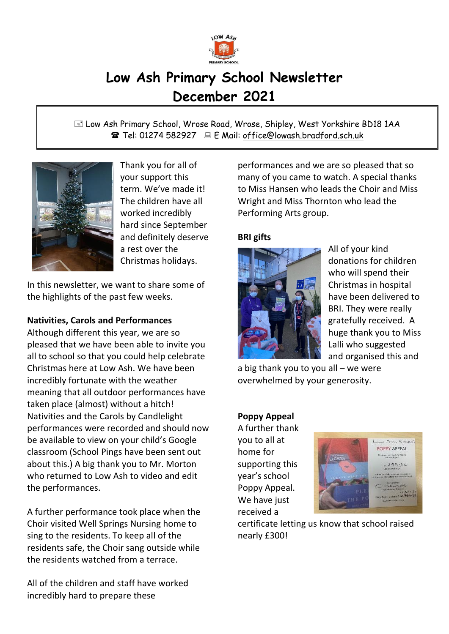

# **Low Ash Primary School Newsletter December 2021**

 Low Ash Primary School, Wrose Road, Wrose, Shipley, West Yorkshire BD18 1AA Tel: 01274 582927 E Mail: office@lowash.bradford.sch.uk



Thank you for all of your support this term. We've made it! The children have all worked incredibly hard since September and definitely deserve a rest over the Christmas holidays.

In this newsletter, we want to share some of the highlights of the past few weeks.

# **Nativities, Carols and Performances**

Although different this year, we are so pleased that we have been able to invite you all to school so that you could help celebrate Christmas here at Low Ash. We have been incredibly fortunate with the weather meaning that all outdoor performances have taken place (almost) without a hitch! Nativities and the Carols by Candlelight performances were recorded and should now be available to view on your child's Google classroom (School Pings have been sent out about this.) A big thank you to Mr. Morton who returned to Low Ash to video and edit the performances.

A further performance took place when the Choir visited Well Springs Nursing home to sing to the residents. To keep all of the residents safe, the Choir sang outside while the residents watched from a terrace.

All of the children and staff have worked incredibly hard to prepare these

performances and we are so pleased that so many of you came to watch. A special thanks to Miss Hansen who leads the Choir and Miss Wright and Miss Thornton who lead the Performing Arts group.

# **BRI gifts**



All of your kind donations for children who will spend their Christmas in hospital have been delivered to BRI. They were really gratefully received. A huge thank you to Miss Lalli who suggested and organised this and

a big thank you to you all – we were overwhelmed by your generosity.

# **Poppy Appeal**

A further thank you to all at home for supporting this year's school Poppy Appeal. We have just received a



certificate letting us know that school raised nearly £300!